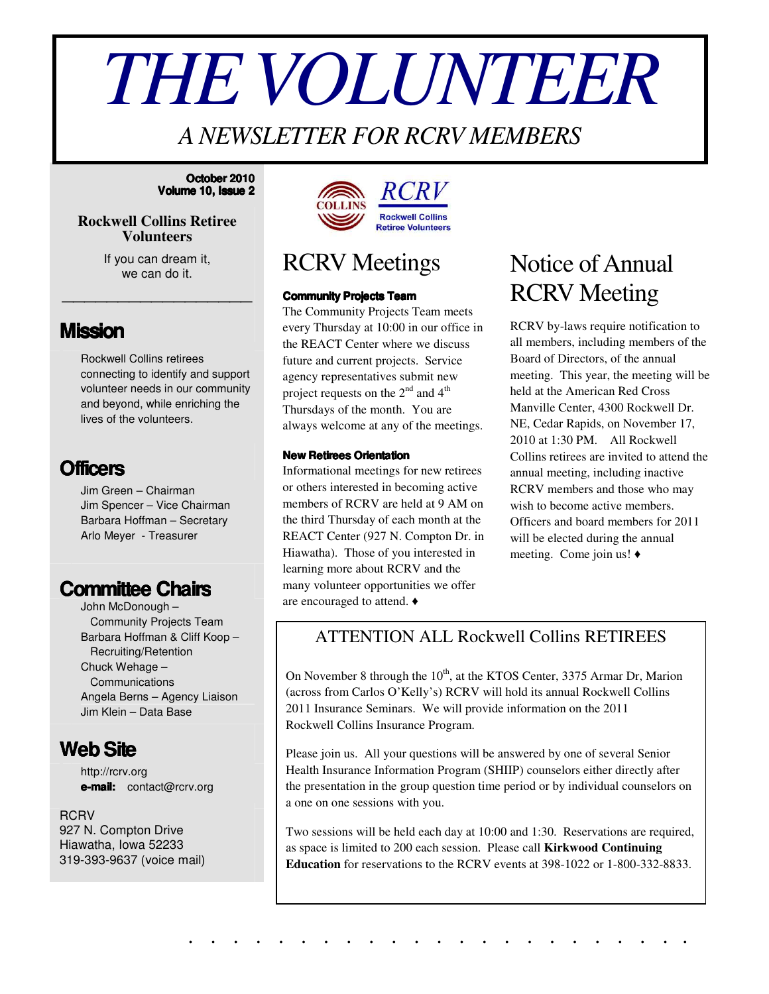# *THEVOLUNTEER*

## *A NEWSLETTER FOR RCRV MEMBERS*

#### **October 2010 Volume 10, Issue 2**

## **Rockwell Collins Retiree Volunteers**

If you can dream it, we can do it.

\_\_\_\_\_\_\_\_\_\_\_\_\_\_\_\_\_

## **Mission**

Rockwell Collins retirees connecting to identify and support volunteer needs in our community and beyond, while enriching the lives of the volunteers.



Jim Green – Chairman Jim Spencer – Vice Chairman Barbara Hoffman – Secretary Arlo Meyer - Treasurer

## **Committee Chairs**

John McDonough – Community Projects Team Barbara Hoffman & Cliff Koop – Recruiting/Retention Chuck Wehage – Communications Angela Berns – Agency Liaison Jim Klein – Data Base



http://rcrv.org **e-mail:** contact@rcrv.org

**RCRV** 927 N. Compton Drive Hiawatha, Iowa 52233 319-393-9637 (voice mail)



## RCRV Meetings

### **Community Projects Team**

The Community Projects Team meets every Thursday at 10:00 in our office in the REACT Center where we discuss future and current projects. Service agency representatives submit new project requests on the  $2^{nd}$  and  $4^{th}$ Thursdays of the month. You are always welcome at any of the meetings.

### **New Retirees Orientation**

Informational meetings for new retirees or others interested in becoming active members of RCRV are held at 9 AM on the third Thursday of each month at the REACT Center (927 N. Compton Dr. in Hiawatha). Those of you interested in learning more about RCRV and the many volunteer opportunities we offer are encouraged to attend.

# Notice of Annual RCRV Meeting

RCRV by-laws require notification to all members, including members of the Board of Directors, of the annual meeting. This year, the meeting will be held at the American Red Cross Manville Center, 4300 Rockwell Dr. NE, Cedar Rapids, on November 17, 2010 at 1:30 PM. All Rockwell Collins retirees are invited to attend the annual meeting, including inactive RCRV members and those who may wish to become active members. Officers and board members for 2011 will be elected during the annual meeting. Come join us!  $\triangleleft$ 

## ATTENTION ALL Rockwell Collins RETIREES

On November 8 through the 10<sup>th</sup>, at the KTOS Center, 3375 Armar Dr, Marion (across from Carlos O'Kelly's) RCRV will hold its annual Rockwell Collins 2011 Insurance Seminars. We will provide information on the 2011 Rockwell Collins Insurance Program.

Please join us. All your questions will be answered by one of several Senior Health Insurance Information Program (SHIIP) counselors either directly after the presentation in the group question time period or by individual counselors on a one on one sessions with you.

Two sessions will be held each day at 10:00 and 1:30. Reservations are required, as space is limited to 200 each session. Please call **Kirkwood Continuing Education** for reservations to the RCRV events at 398-1022 or 1-800-332-8833.

. . . . . . . . . . . . . . . . . . . . . . .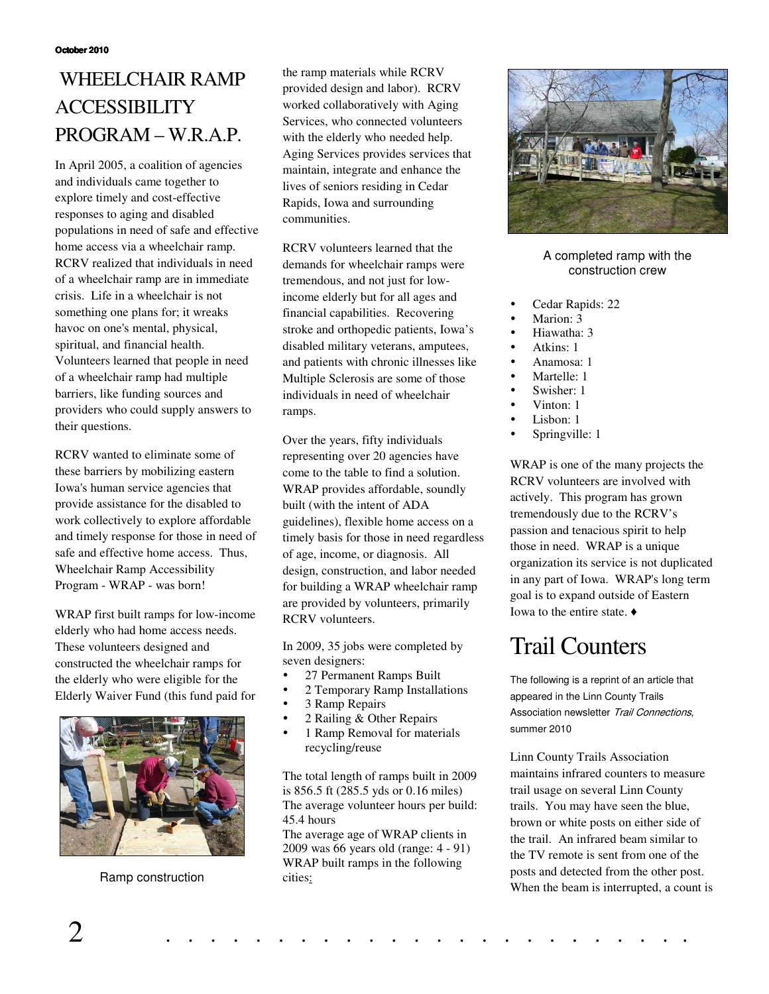## WHEELCHAIR RAMP **ACCESSIBILITY** PROGRAM – W.R.A.P.

In April 2005, a coalition of agencies and individuals came together to explore timely and cost-effective responses to aging and disabled populations in need of safe and effective home access via a wheelchair ramp. RCRV realized that individuals in need of a wheelchair ramp are in immediate crisis. Life in a wheelchair is not something one plans for; it wreaks havoc on one's mental, physical, spiritual, and financial health. Volunteers learned that people in need of a wheelchair ramp had multiple barriers, like funding sources and providers who could supply answers to their questions.

RCRV wanted to eliminate some of these barriers by mobilizing eastern Iowa's human service agencies that provide assistance for the disabled to work collectively to explore affordable and timely response for those in need of safe and effective home access. Thus, Wheelchair Ramp Accessibility Program - WRAP - was born!

WRAP first built ramps for low-income elderly who had home access needs. These volunteers designed and constructed the wheelchair ramps for the elderly who were eligible for the Elderly Waiver Fund (this fund paid for



Ramp construction

the ramp materials while RCRV provided design and labor). RCRV worked collaboratively with Aging Services, who connected volunteers with the elderly who needed help. Aging Services provides services that maintain, integrate and enhance the lives of seniors residing in Cedar Rapids, Iowa and surrounding communities.

RCRV volunteers learned that the demands for wheelchair ramps were tremendous, and not just for lowincome elderly but for all ages and financial capabilities. Recovering stroke and orthopedic patients, Iowa's disabled military veterans, amputees, and patients with chronic illnesses like Multiple Sclerosis are some of those individuals in need of wheelchair ramps.

Over the years, fifty individuals representing over 20 agencies have come to the table to find a solution. WRAP provides affordable, soundly built (with the intent of ADA guidelines), flexible home access on a timely basis for those in need regardless of age, income, or diagnosis. All design, construction, and labor needed for building a WRAP wheelchair ramp are provided by volunteers, primarily RCRV volunteers.

In 2009, 35 jobs were completed by seven designers:

- 27 Permanent Ramps Built
- 2 Temporary Ramp Installations
- 3 Ramp Repairs
- 2 Railing & Other Repairs
- 1 Ramp Removal for materials recycling/reuse

The total length of ramps built in 2009 is 856.5 ft (285.5 yds or 0.16 miles) The average volunteer hours per build: 45.4 hours

The average age of WRAP clients in 2009 was 66 years old (range: 4 - 91) WRAP built ramps in the following cities:



A completed ramp with the construction crew

- Cedar Rapids: 22
- Marion: 3
- Hiawatha: 3
- Atkins: 1
- Anamosa: 1
- Martelle: 1
- Swisher: 1
- Vinton: 1
- Lisbon: 1
- Springville: 1

WRAP is one of the many projects the RCRV volunteers are involved with actively. This program has grown tremendously due to the RCRV's passion and tenacious spirit to help those in need. WRAP is a unique organization its service is not duplicated in any part of Iowa. WRAP's long term goal is to expand outside of Eastern Iowa to the entire state.  $\triangleleft$ 

# Trail Counters

The following is a reprint of an article that appeared in the Linn County Trails Association newsletter Trail Connections, summer 2010

Linn County Trails Association maintains infrared counters to measure trail usage on several Linn County trails. You may have seen the blue, brown or white posts on either side of the trail. An infrared beam similar to the TV remote is sent from one of the posts and detected from the other post. When the beam is interrupted, a count is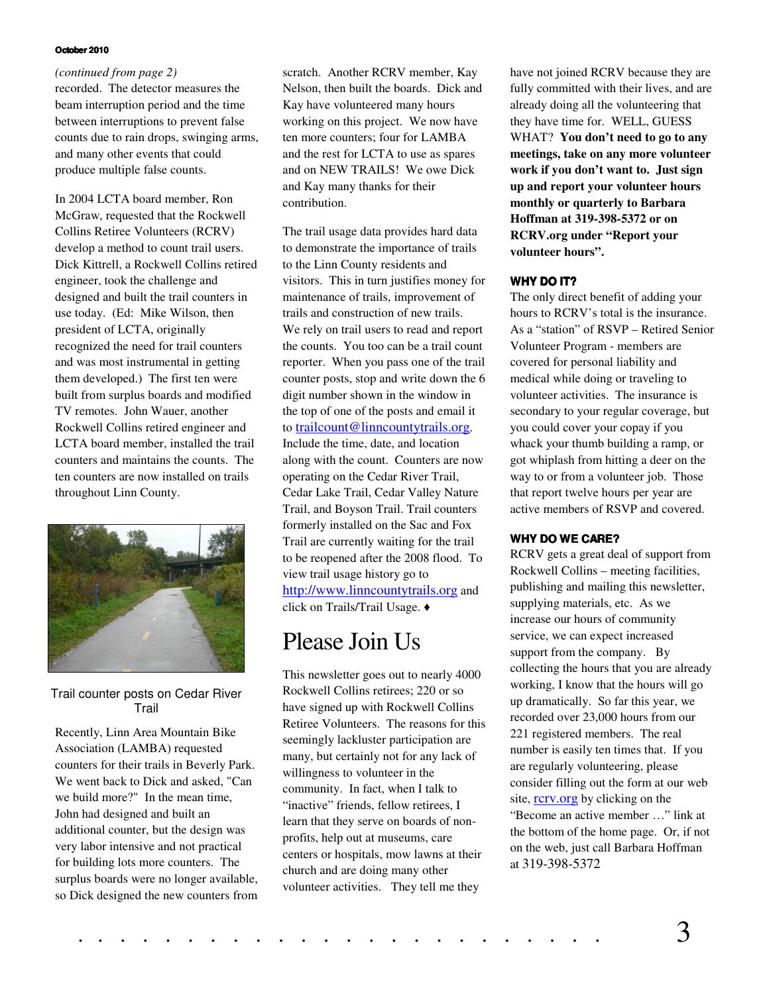#### **October 2010**

#### *(continued from page 2)*

recorded. The detector measures the beam interruption period and the time between interruptions to prevent false counts due to rain drops, swinging arms, and many other events that could produce multiple false counts.

In 2004 LCTA board member, Ron McGraw, requested that the Rockwell Collins Retiree Volunteers (RCRV) develop a method to count trail users. Dick Kittrell, a Rockwell Collins retired engineer, took the challenge and designed and built the trail counters in use today. (Ed: Mike Wilson, then president of LCTA, originally recognized the need for trail counters and was most instrumental in getting them developed.) The first ten were built from surplus boards and modified TV remotes. John Wauer, another Rockwell Collins retired engineer and LCTA board member, installed the trail counters and maintains the counts. The ten counters are now installed on trails throughout Linn County.



Trail counter posts on Cedar River Trail

Recently, Linn Area Mountain Bike Association (LAMBA) requested counters for their trails in Beverly Park. We went back to Dick and asked, "Can we build more?" In the mean time, John had designed and built an additional counter, but the design was very labor intensive and not practical for building lots more counters. The surplus boards were no longer available, so Dick designed the new counters from

scratch. Another RCRV member, Kay Nelson, then built the boards. Dick and Kay have volunteered many hours working on this project. We now have ten more counters; four for LAMBA and the rest for LCTA to use as spares and on NEW TRAILS! We owe Dick and Kay many thanks for their contribution.

The trail usage data provides hard data to demonstrate the importance of trails to the Linn County residents and visitors. This in turn justifies money for maintenance of trails, improvement of trails and construction of new trails. We rely on trail users to read and report the counts. You too can be a trail count reporter. When you pass one of the trail counter posts, stop and write down the 6 digit number shown in the window in the top of one of the posts and email it to trailcount@linncountytrails.org. Include the time, date, and location along with the count. Counters are now operating on the Cedar River Trail, Cedar Lake Trail, Cedar Valley Nature Trail, and Boyson Trail. Trail counters formerly installed on the Sac and Fox Trail are currently waiting for the trail to be reopened after the 2008 flood. To view trail usage history go to http://www.linncountytrails.org and click on Trails/Trail Usage.

## Please Join Us

This newsletter goes out to nearly 4000 Rockwell Collins retirees; 220 or so have signed up with Rockwell Collins Retiree Volunteers. The reasons for this seemingly lackluster participation are many, but certainly not for any lack of willingness to volunteer in the community. In fact, when I talk to "inactive" friends, fellow retirees, I learn that they serve on boards of nonprofits, help out at museums, care centers or hospitals, mow lawns at their church and are doing many other volunteer activities. They tell me they

have not joined RCRV because they are fully committed with their lives, and are already doing all the volunteering that they have time for. WELL, GUESS WHAT? **You don't need to go to any meetings, take on any more volunteer work if you don't want to. Just sign up and report your volunteer hours monthly or quarterly to Barbara Hoffman at 319-398-5372 or on RCRV.org under "Report your volunteer hours".**

#### **WHY DO IT?**

The only direct benefit of adding your hours to RCRV's total is the insurance. As a "station" of RSVP – Retired Senior Volunteer Program - members are covered for personal liability and medical while doing or traveling to volunteer activities. The insurance is secondary to your regular coverage, but you could cover your copay if you whack your thumb building a ramp, or got whiplash from hitting a deer on the way to or from a volunteer job. Those that report twelve hours per year are active members of RSVP and covered.

#### **WHY DO WE CARE?**

RCRV gets a great deal of support from Rockwell Collins – meeting facilities, publishing and mailing this newsletter, supplying materials, etc. As we increase our hours of community service, we can expect increased support from the company. By collecting the hours that you are already working, I know that the hours will go up dramatically. So far this year, we recorded over 23,000 hours from our 221 registered members. The real number is easily ten times that. If you are regularly volunteering, please consider filling out the form at our web site, rcrv.org by clicking on the "Become an active member …" link at the bottom of the home page. Or, if not on the web, just call Barbara Hoffman at 319-398-5372

. . . . . . . . . . . . . . . . . . . . . . . . 3